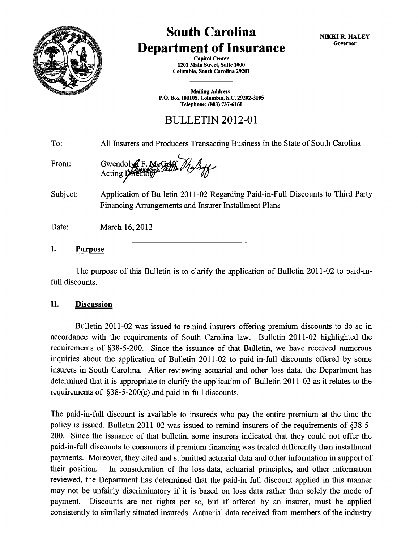

## **South Carolina Department of Insurance**

NIKKI R. HALEY Governor

Capitol Center 1201 Main Street, Suite 1000 Columbia, South Carolina 29201

Mailing Address: P.O. Box 100105, Columbia, S.C. 29202-3105 Telephone: (803) 737-6160

BULLETIN 2012-01

To: From: Subject: Date: All Insurers and Producers Transacting Business in the State of South Carolina Gwendoryd F. Bae Germ. Me*Shoff* Application of Bulletin 2011-02 Regarding Paid-in-Full Discounts to Third Party Financing Arrangements and Insurer Installment Plans March 16, 2012

## I. Purpose

The purpose of this Bulletin is to clarify the application of Bulletin 2011-02 to paid-infull discounts.

## II. Discussion

Bulletin 2011-02 was issued to remind insurers offering premium discounts to do so in accordance with the requirements of South Carolina law. Bulletin 2011-02 highlighted the requirements of §38-5-200. Since the issuance of that Bulletin, we have received numerous inquiries about the application of Bulletin 2011-02 to paid-in-full discounts offered by some insurers in South Carolina. After reviewing actuarial and other loss data, the Department has determined that it is appropriate to clarify the application of Bulletin 2011-02 as it relates to the requirements of §38-5-200(c) and paid-in-full discounts.

The paid-in-full discount is available to insureds who pay the entire premium at the time the policy is issued. Bulletin 2011-02 was issued to remind insurers of the requirements of §38-5- 200. Since the issuance of that bulletin, some insurers indicated that they could not offer the paid-in-full discounts to consumers if premium financing was treated differently than installment payments. Moreover, they cited and submitted actuarial data and other information in support of their position. In consideration of the loss data, actuarial principles, and other information reviewed, the Department has determined that the paid-in full discount applied in this manner may not be unfairly discriminatory if it is based on loss data rather than solely the mode of payment. Discounts are not rights per se, but if offered by an insurer, must be applied consistently to similarly situated insureds. Actuarial data received from members of the industry